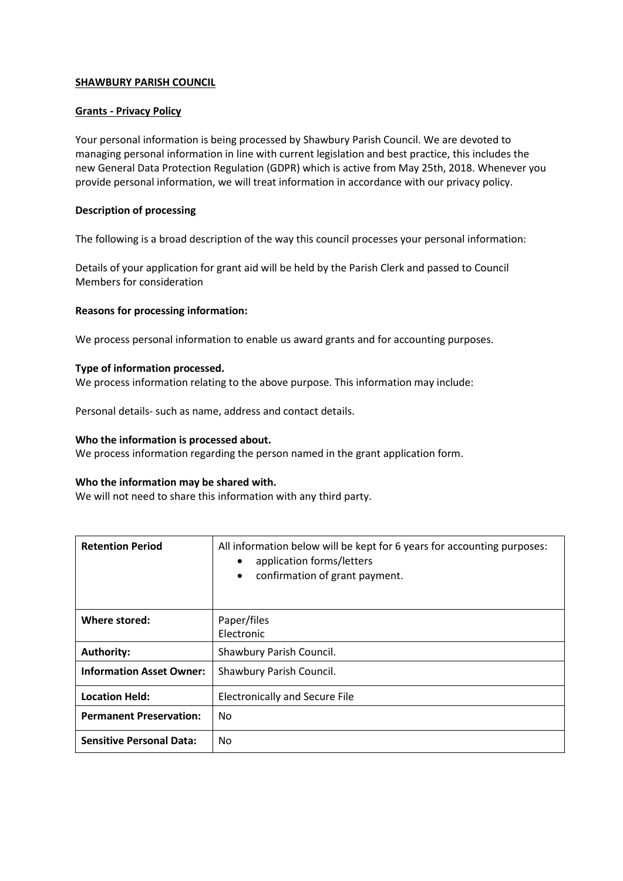# **SHAWBURY PARISH COUNCIL**

# **Grants - Privacy Policy**

Your personal information is being processed by Shawbury Parish Council. We are devoted to managing personal information in line with current legislation and best practice, this includes the new General Data Protection Regulation (GDPR) which is active from May 25th, 2018. Whenever you provide personal information, we will treat information in accordance with our privacy policy.

### **Description of processing**

The following is a broad description of the way this council processes your personal information:

Details of your application for grant aid will be held by the Parish Clerk and passed to Council Members for consideration

#### **Reasons for processing information:**

We process personal information to enable us award grants and for accounting purposes.

#### **Type of information processed.**

We process information relating to the above purpose. This information may include:

Personal details- such as name, address and contact details.

### **Who the information is processed about.**

We process information regarding the person named in the grant application form.

# **Who the information may be shared with.**

We will not need to share this information with any third party.

| <b>Retention Period</b>         | All information below will be kept for 6 years for accounting purposes:<br>application forms/letters<br>$\bullet$<br>confirmation of grant payment.<br>$\bullet$ |
|---------------------------------|------------------------------------------------------------------------------------------------------------------------------------------------------------------|
| Where stored:                   | Paper/files<br>Electronic                                                                                                                                        |
| <b>Authority:</b>               | Shawbury Parish Council.                                                                                                                                         |
| <b>Information Asset Owner:</b> | Shawbury Parish Council.                                                                                                                                         |
| <b>Location Held:</b>           | <b>Electronically and Secure File</b>                                                                                                                            |
| <b>Permanent Preservation:</b>  | No                                                                                                                                                               |
| <b>Sensitive Personal Data:</b> | No                                                                                                                                                               |